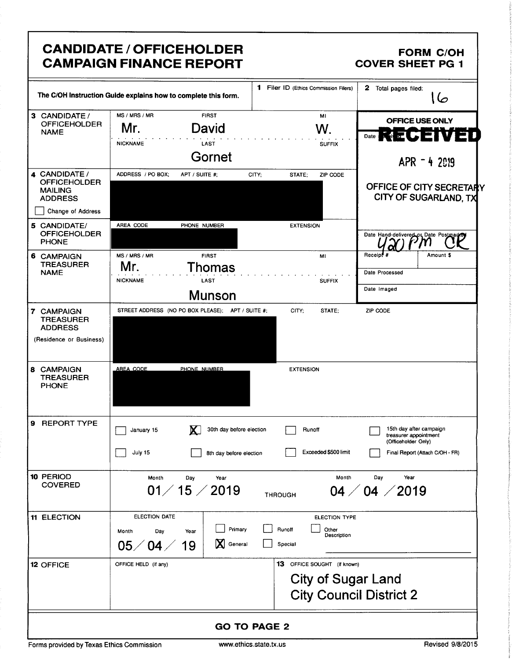|                                                                             | <b>CANDIDATE / OFFICEHOLDER</b><br><b>CAMPAIGN FINANCE REPORT</b>                                         |                                                                                            | <b>FORM C/OH</b><br><b>COVER SHEET PG 1</b>                                                                |
|-----------------------------------------------------------------------------|-----------------------------------------------------------------------------------------------------------|--------------------------------------------------------------------------------------------|------------------------------------------------------------------------------------------------------------|
|                                                                             | The C/OH Instruction Guide explains how to complete this form.                                            | 1 Filer ID (Ethics Commission Filers)                                                      | 2 Total pages filed:<br>صا ا                                                                               |
| 3 CANDIDATE /<br><b>OFFICEHOLDER</b><br><b>NAME</b>                         | MS / MRS / MR<br><b>FIRST</b><br>Mr.<br>David<br><b>NICKNAME</b><br><b>LAST</b><br>Gornet                 | MI<br>W.<br><b>SUFFIX</b>                                                                  | OFFICE USE ONLY<br>MQUENT!<br>Date<br>$APR - 42019$                                                        |
| 4 CANDIDATE /<br><b>OFFICEHOLDER</b><br><b>MAILING</b><br><b>ADDRESS</b>    | ADDRESS / PO BOX:<br>APT / SUITE #:                                                                       | CITY:<br>ZIP CODE<br>STATE:                                                                | OFFICE OF CITY SECRETARY<br>CITY OF SUGARLAND, TX                                                          |
| Change of Address<br>5 CANDIDATE/<br><b>OFFICEHOLDER</b><br><b>PHONE</b>    | AREA CODE<br>PHONE NUMBER                                                                                 | <b>EXTENSION</b>                                                                           | Date Hand-delivered or Date Postmanner                                                                     |
| 6 CAMPAIGN<br><b>TREASURER</b><br><b>NAME</b>                               | MS / MRS / MR<br><b>FIRST</b><br>Mr.<br>Thomas<br><b>NICKNAME</b><br>LAST<br><b>Munson</b>                | MI<br><b>SUFFIX</b>                                                                        | Receipt <sup>#</sup><br>Amount \$<br>Date Processed<br>Date Imaged                                         |
| 7 CAMPAIGN<br><b>TREASURER</b><br><b>ADDRESS</b><br>(Residence or Business) | STREET ADDRESS (NO PO BOX PLEASE); APT / SUITE #;                                                         | CITY;<br>STATE;                                                                            | ZIP CODE                                                                                                   |
| 8 CAMPAIGN<br><b>TREASURER</b><br><b>PHONE</b>                              | AREA CODE<br>PHONE NUMBER                                                                                 | <b>EXTENSION</b>                                                                           |                                                                                                            |
| 9 REPORT TYPE                                                               | <b>X</b><br>30th day before election<br>January 15<br>July 15<br>8th day before election                  | Runoff<br>Exceeded \$500 limit                                                             | 15th day after campaign<br>treasurer appointment<br>(Officeholder Only)<br>Final Report (Attach C/OH - FR) |
| 10 PERIOD<br><b>COVERED</b>                                                 | Month<br>Day<br>Year<br>01/15/2019                                                                        | Month<br><b>THROUGH</b>                                                                    | Day<br>Year<br>$04 \; / \; 04 \; / \; 2019$                                                                |
| <b>11 ELECTION</b>                                                          | ELECTION DATE<br>Primary<br>Day<br>Month<br>Year<br>$\mathbf X$<br>$05\diagup 04\diagup$<br>General<br>19 | <b>ELECTION TYPE</b><br>Runoff<br>Other<br>Description<br>Special                          |                                                                                                            |
| 12 OFFICE                                                                   | OFFICE HELD (if any)                                                                                      | 13 OFFICE SOUGHT (if known)<br><b>City of Sugar Land</b><br><b>City Council District 2</b> |                                                                                                            |
|                                                                             |                                                                                                           | <b>GO TO PAGE 2</b>                                                                        |                                                                                                            |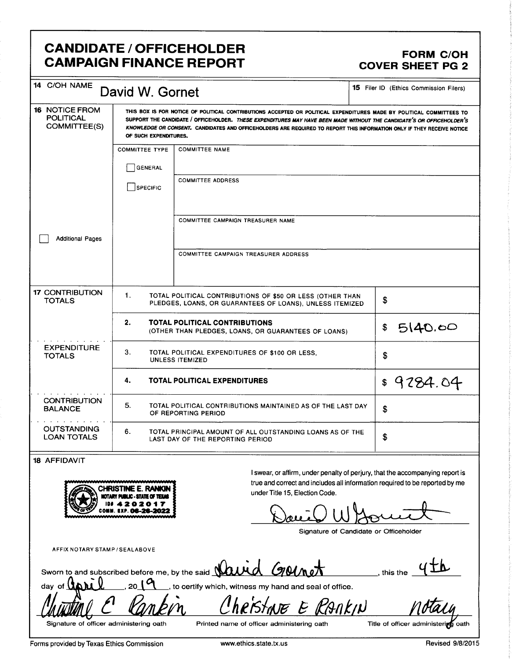## CANDIDATE / OFFICEHOLDER<br>CAMPAIGN FINANCE REPORT COVER SHEET PG 2 **CAMPAIGN FINANCE REPORT**

| 14 C/OH NAME                                       | David W. Gornet       |                                                                                                                                                                                                                                                                                                                                                                         | 15 Filer ID (Ethics Commission Filers)                                                                                                                       |
|----------------------------------------------------|-----------------------|-------------------------------------------------------------------------------------------------------------------------------------------------------------------------------------------------------------------------------------------------------------------------------------------------------------------------------------------------------------------------|--------------------------------------------------------------------------------------------------------------------------------------------------------------|
| 16 NOTICE FROM<br><b>POLITICAL</b><br>COMMITTEE(S) | OF SUCH EXPENDITURES. | THIS BOX IS FOR NOTICE OF POLITICAL CONTRIBUTIONS ACCEPTED OR POLITICAL EXPENDITURES MADE BY POLITICAL COMMITTEES TO<br>SUPPORT THE CANDIDATE / OFFICEHOLDER. THESE EXPENDITURES MAY HAVE BEEN MADE WITHOUT THE CANDIDATE'S OR OFFICEHOLDER'S<br>KNOWLEDGE OR CONSENT. CANDIDATES AND OFFICEHOLDERS ARE REQUIRED TO REPORT THIS INFORMATION ONLY IF THEY RECEIVE NOTICE |                                                                                                                                                              |
|                                                    | <b>COMMITTEE TYPE</b> | <b>COMMITTEE NAME</b>                                                                                                                                                                                                                                                                                                                                                   |                                                                                                                                                              |
|                                                    | <b>GENERAL</b>        |                                                                                                                                                                                                                                                                                                                                                                         |                                                                                                                                                              |
|                                                    | <b>SPECIFIC</b>       | <b>COMMITTEE ADDRESS</b>                                                                                                                                                                                                                                                                                                                                                |                                                                                                                                                              |
|                                                    |                       | COMMITTEE CAMPAIGN TREASURER NAME                                                                                                                                                                                                                                                                                                                                       |                                                                                                                                                              |
| <b>Additional Pages</b>                            |                       |                                                                                                                                                                                                                                                                                                                                                                         |                                                                                                                                                              |
|                                                    |                       | COMMITTEE CAMPAIGN TREASURER ADDRESS                                                                                                                                                                                                                                                                                                                                    |                                                                                                                                                              |
| <b>17 CONTRIBUTION</b><br><b>TOTALS</b>            | 1.                    | TOTAL POLITICAL CONTRIBUTIONS OF \$50 OR LESS (OTHER THAN<br>PLEDGES, LOANS, OR GUARANTEES OF LOANS), UNLESS ITEMIZED                                                                                                                                                                                                                                                   | \$                                                                                                                                                           |
|                                                    | 2.                    | TOTAL POLITICAL CONTRIBUTIONS<br>(OTHER THAN PLEDGES, LOANS, OR GUARANTEES OF LOANS)                                                                                                                                                                                                                                                                                    | \$<br>5140.00                                                                                                                                                |
| <b>EXPENDITURE</b><br><b>TOTALS</b>                | З.                    | TOTAL POLITICAL EXPENDITURES OF \$100 OR LESS.<br>UNLESS ITEMIZED                                                                                                                                                                                                                                                                                                       | \$                                                                                                                                                           |
|                                                    | 4.                    | <b>TOTAL POLITICAL EXPENDITURES</b>                                                                                                                                                                                                                                                                                                                                     | 9284.04<br>\$                                                                                                                                                |
| <b>CONTRIBUTION</b><br><b>BALANCE</b>              | 5.                    | TOTAL POLITICAL CONTRIBUTIONS MAINTAINED AS OF THE LAST DAY<br>OF REPORTING PERIOD                                                                                                                                                                                                                                                                                      | \$                                                                                                                                                           |
| <b>OUTSTANDING</b><br><b>LOAN TOTALS</b>           | 6.                    | TOTAL PRINCIPAL AMOUNT OF ALL OUTSTANDING LOANS AS OF THE<br>LAST DAY OF THE REPORTING PERIOD                                                                                                                                                                                                                                                                           | \$                                                                                                                                                           |
| <b>18 AFFIDAVIT</b>                                |                       |                                                                                                                                                                                                                                                                                                                                                                         |                                                                                                                                                              |
|                                                    |                       | under Title 15, Election Code.                                                                                                                                                                                                                                                                                                                                          | I swear, or affirm, under penalty of perjury, that the accompanying report is<br>true and correct and includes all information required to be reported by me |
|                                                    |                       |                                                                                                                                                                                                                                                                                                                                                                         | Signature of Candidate or Officeholder                                                                                                                       |
| <b>AFFIX NOTARY STAMP/SEALABOVE</b>                |                       |                                                                                                                                                                                                                                                                                                                                                                         |                                                                                                                                                              |
|                                                    |                       | Sworn to and subscribed before me, by the said Nawd GMM                                                                                                                                                                                                                                                                                                                 | this the                                                                                                                                                     |
| day of <b>LAA</b>                                  | ا 20                  | , to certify which, witness my hand and seal of office.                                                                                                                                                                                                                                                                                                                 |                                                                                                                                                              |

Signature of officer administering oath Printed name of officer administering oath Title of officer administering oath

notaly

 $\eta_{\scriptscriptstyle\! M}^{\scriptscriptstyle\prime}$ 

<u>Christme</u>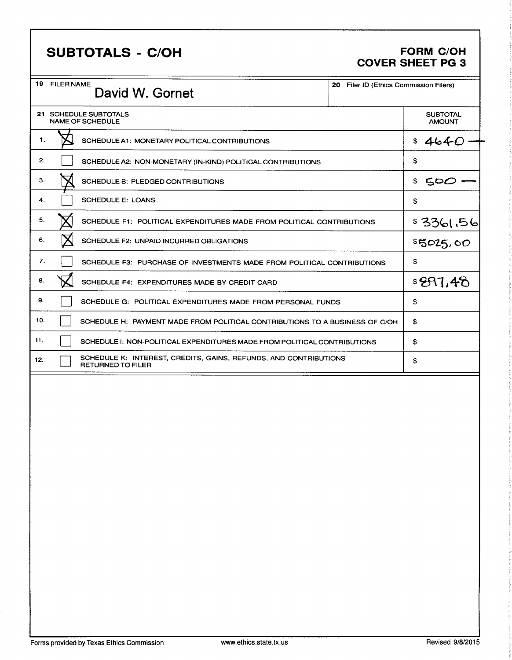# SUBTOTALS - C/OH FORM C/OH

# COVER SHEET PG 3

| 19<br><b>FILER NAME</b> | David W. Gornet                                                                              | 20<br>Filer ID (Ethics Commission Filers) |                                  |
|-------------------------|----------------------------------------------------------------------------------------------|-------------------------------------------|----------------------------------|
|                         | <b>21 SCHEDULE SUBTOTALS</b><br><b>NAME OF SCHEDULE</b>                                      |                                           | <b>SUBTOTAL</b><br><b>AMOUNT</b> |
| 1.                      | SCHEDULE A1: MONETARY POLITICAL CONTRIBUTIONS                                                |                                           | \$4640                           |
| 2.                      | SCHEDULE A2: NON-MONETARY (IN-KIND) POLITICAL CONTRIBUTIONS                                  |                                           | \$                               |
| З.                      | SCHEDULE B: PLEDGED CONTRIBUTIONS                                                            |                                           | 500<br>\$                        |
| 4.                      | <b>SCHEDULE E: LOANS</b>                                                                     |                                           | \$                               |
| 5.                      | SCHEDULE F1: POLITICAL EXPENDITURES MADE FROM POLITICAL CONTRIBUTIONS                        |                                           | \$3361.56                        |
| 6.                      | SCHEDULE F2: UNPAID INCURRED OBLIGATIONS                                                     |                                           | \$5025,00                        |
| 7.                      | SCHEDULE F3: PURCHASE OF INVESTMENTS MADE FROM POLITICAL CONTRIBUTIONS                       |                                           | \$                               |
| 8.                      | SCHEDULE F4: EXPENDITURES MADE BY CREDIT CARD                                                |                                           | \$297,48                         |
| 9.                      | SCHEDULE G: POLITICAL EXPENDITURES MADE FROM PERSONAL FUNDS                                  |                                           | \$                               |
| 10.                     | SCHEDULE H: PAYMENT MADE FROM POLITICAL CONTRIBUTIONS TO A BUSINESS OF C/OH                  |                                           | \$                               |
| 11.                     | SCHEDULE I: NON-POLITICAL EXPENDITURES MADE FROM POLITICAL CONTRIBUTIONS                     |                                           | \$                               |
| 12.                     | SCHEDULE K: INTEREST, CREDITS, GAINS, REFUNDS, AND CONTRIBUTIONS<br><b>RETURNED TO FILER</b> |                                           | \$                               |
|                         |                                                                                              |                                           |                                  |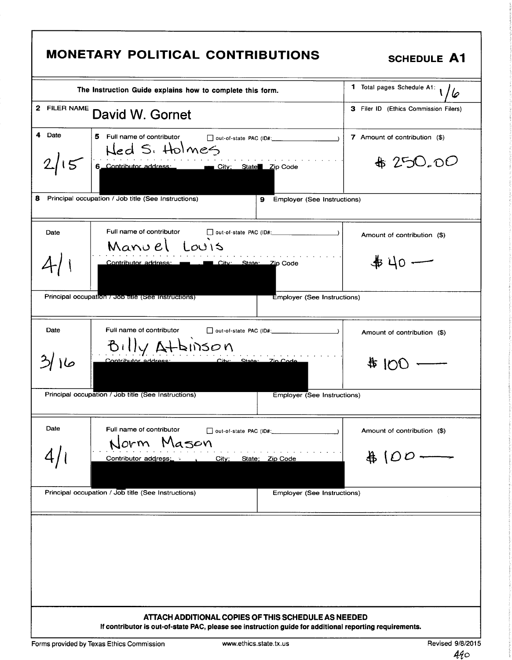| MONETARY POLITICAL CONTRIBUTIONS<br><b>SCHEDULE A1</b><br>1 Total pages Schedule A1:<br>The Instruction Guide explains how to complete this form.<br>10<br><sup>2</sup> FILER NAME David W. Gornet<br>3 Filer ID (Ethics Commission Filers)<br>de Date 5 Full name of contributor<br>7 Amount of contribution (\$)<br>out-of-state PAC (ID#:____<br>\$250.00<br>$2/15$ 6 Contributor address: $\overline{C}$ City; State $\overline{z}$ Code<br>8 Principal occupation / Job title (See Instructions)<br>9 Employer (See Instructions)<br>out-of-state PAC (ID#:<br>Full name of contributor<br>Amount of contribution (\$)<br>Manuel Louis<br>$+40-$<br>Contributor address: The City: State: Zip Code<br>Principal occupation / Job fitte (See Instructions)<br>Employer (See Instructions)<br>Full name of contributor $\square$ out-of-state PAC (ID#:<br>Amount of contribution (\$)<br>$\frac{100}{100}$<br>Principal occupation / Job title (See Instructions)<br>Employer (See Instructions)<br>Full name of contributor Dout-of-state PAC (ID#:<br>Amount of contribution (\$)<br>$\#$ (00 —<br>Contributor address: etc. City; State; Zip Code<br><b>Employer (See Instructions)</b><br>ATTACH ADDITIONAL COPIES OF THIS SCHEDULE AS NEEDED<br>If contributor is out-of-state PAC, please see instruction guide for additional reporting requirements.<br>Forms provided by Texas Ethics Commission<br>www.ethics.state.tx.us<br>Revised 9/8/2015 |  |  |                                                     |  |  |  |  |  |
|-------------------------------------------------------------------------------------------------------------------------------------------------------------------------------------------------------------------------------------------------------------------------------------------------------------------------------------------------------------------------------------------------------------------------------------------------------------------------------------------------------------------------------------------------------------------------------------------------------------------------------------------------------------------------------------------------------------------------------------------------------------------------------------------------------------------------------------------------------------------------------------------------------------------------------------------------------------------------------------------------------------------------------------------------------------------------------------------------------------------------------------------------------------------------------------------------------------------------------------------------------------------------------------------------------------------------------------------------------------------------------------------------------------------------------------------------------------|--|--|-----------------------------------------------------|--|--|--|--|--|
|                                                                                                                                                                                                                                                                                                                                                                                                                                                                                                                                                                                                                                                                                                                                                                                                                                                                                                                                                                                                                                                                                                                                                                                                                                                                                                                                                                                                                                                             |  |  |                                                     |  |  |  |  |  |
|                                                                                                                                                                                                                                                                                                                                                                                                                                                                                                                                                                                                                                                                                                                                                                                                                                                                                                                                                                                                                                                                                                                                                                                                                                                                                                                                                                                                                                                             |  |  |                                                     |  |  |  |  |  |
|                                                                                                                                                                                                                                                                                                                                                                                                                                                                                                                                                                                                                                                                                                                                                                                                                                                                                                                                                                                                                                                                                                                                                                                                                                                                                                                                                                                                                                                             |  |  |                                                     |  |  |  |  |  |
|                                                                                                                                                                                                                                                                                                                                                                                                                                                                                                                                                                                                                                                                                                                                                                                                                                                                                                                                                                                                                                                                                                                                                                                                                                                                                                                                                                                                                                                             |  |  |                                                     |  |  |  |  |  |
|                                                                                                                                                                                                                                                                                                                                                                                                                                                                                                                                                                                                                                                                                                                                                                                                                                                                                                                                                                                                                                                                                                                                                                                                                                                                                                                                                                                                                                                             |  |  |                                                     |  |  |  |  |  |
|                                                                                                                                                                                                                                                                                                                                                                                                                                                                                                                                                                                                                                                                                                                                                                                                                                                                                                                                                                                                                                                                                                                                                                                                                                                                                                                                                                                                                                                             |  |  |                                                     |  |  |  |  |  |
|                                                                                                                                                                                                                                                                                                                                                                                                                                                                                                                                                                                                                                                                                                                                                                                                                                                                                                                                                                                                                                                                                                                                                                                                                                                                                                                                                                                                                                                             |  |  |                                                     |  |  |  |  |  |
|                                                                                                                                                                                                                                                                                                                                                                                                                                                                                                                                                                                                                                                                                                                                                                                                                                                                                                                                                                                                                                                                                                                                                                                                                                                                                                                                                                                                                                                             |  |  |                                                     |  |  |  |  |  |
|                                                                                                                                                                                                                                                                                                                                                                                                                                                                                                                                                                                                                                                                                                                                                                                                                                                                                                                                                                                                                                                                                                                                                                                                                                                                                                                                                                                                                                                             |  |  |                                                     |  |  |  |  |  |
|                                                                                                                                                                                                                                                                                                                                                                                                                                                                                                                                                                                                                                                                                                                                                                                                                                                                                                                                                                                                                                                                                                                                                                                                                                                                                                                                                                                                                                                             |  |  |                                                     |  |  |  |  |  |
|                                                                                                                                                                                                                                                                                                                                                                                                                                                                                                                                                                                                                                                                                                                                                                                                                                                                                                                                                                                                                                                                                                                                                                                                                                                                                                                                                                                                                                                             |  |  |                                                     |  |  |  |  |  |
|                                                                                                                                                                                                                                                                                                                                                                                                                                                                                                                                                                                                                                                                                                                                                                                                                                                                                                                                                                                                                                                                                                                                                                                                                                                                                                                                                                                                                                                             |  |  |                                                     |  |  |  |  |  |
|                                                                                                                                                                                                                                                                                                                                                                                                                                                                                                                                                                                                                                                                                                                                                                                                                                                                                                                                                                                                                                                                                                                                                                                                                                                                                                                                                                                                                                                             |  |  |                                                     |  |  |  |  |  |
|                                                                                                                                                                                                                                                                                                                                                                                                                                                                                                                                                                                                                                                                                                                                                                                                                                                                                                                                                                                                                                                                                                                                                                                                                                                                                                                                                                                                                                                             |  |  | Principal occupation / Job title (See Instructions) |  |  |  |  |  |
|                                                                                                                                                                                                                                                                                                                                                                                                                                                                                                                                                                                                                                                                                                                                                                                                                                                                                                                                                                                                                                                                                                                                                                                                                                                                                                                                                                                                                                                             |  |  |                                                     |  |  |  |  |  |
|                                                                                                                                                                                                                                                                                                                                                                                                                                                                                                                                                                                                                                                                                                                                                                                                                                                                                                                                                                                                                                                                                                                                                                                                                                                                                                                                                                                                                                                             |  |  |                                                     |  |  |  |  |  |
|                                                                                                                                                                                                                                                                                                                                                                                                                                                                                                                                                                                                                                                                                                                                                                                                                                                                                                                                                                                                                                                                                                                                                                                                                                                                                                                                                                                                                                                             |  |  |                                                     |  |  |  |  |  |
|                                                                                                                                                                                                                                                                                                                                                                                                                                                                                                                                                                                                                                                                                                                                                                                                                                                                                                                                                                                                                                                                                                                                                                                                                                                                                                                                                                                                                                                             |  |  |                                                     |  |  |  |  |  |
|                                                                                                                                                                                                                                                                                                                                                                                                                                                                                                                                                                                                                                                                                                                                                                                                                                                                                                                                                                                                                                                                                                                                                                                                                                                                                                                                                                                                                                                             |  |  |                                                     |  |  |  |  |  |
|                                                                                                                                                                                                                                                                                                                                                                                                                                                                                                                                                                                                                                                                                                                                                                                                                                                                                                                                                                                                                                                                                                                                                                                                                                                                                                                                                                                                                                                             |  |  |                                                     |  |  |  |  |  |
|                                                                                                                                                                                                                                                                                                                                                                                                                                                                                                                                                                                                                                                                                                                                                                                                                                                                                                                                                                                                                                                                                                                                                                                                                                                                                                                                                                                                                                                             |  |  |                                                     |  |  |  |  |  |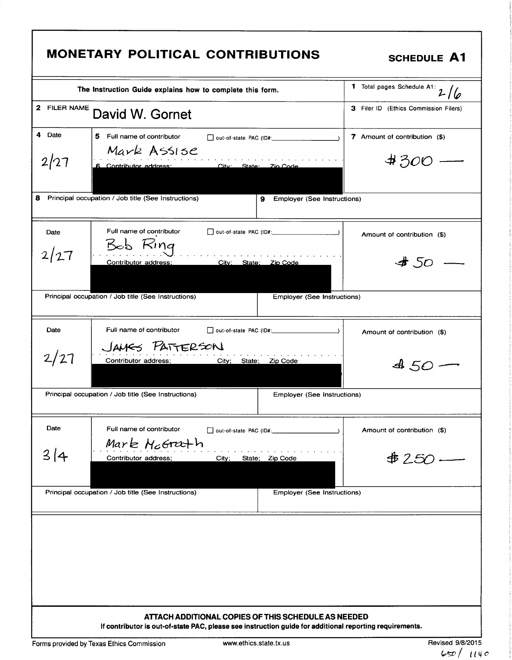|              | The Instruction Guide explains how to complete this form.                                 | $\frac{1}{1}$ Total pages Schedule A1: $2/6$ |
|--------------|-------------------------------------------------------------------------------------------|----------------------------------------------|
| 2 FILER NAME | David W. Gornet                                                                           | 3 Filer ID (Ethics Commission Filers)        |
| 4 Date       | 5 Full name of contributor                                                                | 7 Amount of contribution (\$)                |
|              | Mark Assise                                                                               |                                              |
| 2/27         | 6 Contributor address: City: State: Zin Code                                              | #300                                         |
|              | 8 Principal occupation / Job title (See Instructions)<br>Employer (See Instructions)<br>9 |                                              |
| Date         | Full name of contributor<br>$\Box$ out-of-state PAC (ID#: $\Box$<br>Bob Ring              | Amount of contribution (\$)                  |
| 2/27         | Contributor address;<br>City: State: Zip Code                                             | 450                                          |
|              | Principal occupation / Job title (See Instructions)<br>Employer (See Instructions)        |                                              |
| Date         | Full name of contributor                                                                  | Amount of contribution (\$)                  |
| 2/27         | JAMES PATTERSON<br>City; State; Zip Code<br>Contributor address;                          | $450 -$                                      |
|              | Principal occupation / Job title (See Instructions)<br>Employer (See Instructions)        |                                              |
| Date         | Full name of contributor<br>□ out-of-state PAC (ID#:<br>Mark McGrath                      | Amount of contribution (\$)                  |
| 314          | Contributor address;<br>City;<br>State; Zip Code                                          | \$250.                                       |
|              | Principal occupation / Job title (See Instructions)<br>Employer (See Instructions)        |                                              |
|              |                                                                                           |                                              |
|              |                                                                                           |                                              |
|              |                                                                                           |                                              |
|              |                                                                                           |                                              |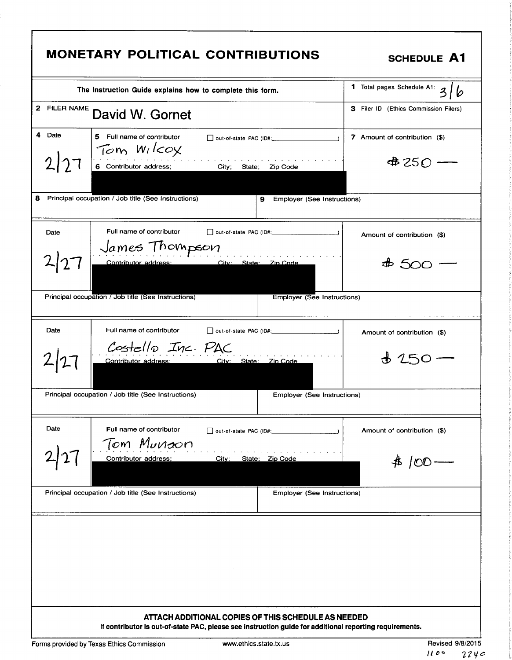|              |                                                                                                                                                                | $\frac{2}{1}$ Total pages Schedule A1: 3 |
|--------------|----------------------------------------------------------------------------------------------------------------------------------------------------------------|------------------------------------------|
|              | The Instruction Guide explains how to complete this form.                                                                                                      |                                          |
| 2 FILER NAME | David W. Gornet                                                                                                                                                | 3 Filer ID (Ethics Commission Filers)    |
| 4 Date       | 5 Full name of contributor<br>Tom Wilcox                                                                                                                       | 7 Amount of contribution (\$)            |
| 2 27         | 6 Contributor address; City;<br>State; Zip Code                                                                                                                | $4250 -$                                 |
| 8.           | Principal occupation / Job title (See Instructions)<br>Employer (See Instructions)<br>9                                                                        |                                          |
| Date         | Full name of contributor<br>$\Box$ out-of-state PAC (ID#: $\Box$ )                                                                                             | Amount of contribution (\$)              |
|              | James Thompson<br>City: State: Zin Code<br>Contributor address:                                                                                                | #500                                     |
|              | Principal occupation / Job title (See Instructions)<br><b>Employer (See Instructions)</b>                                                                      |                                          |
| Date         | Full name of contributor                                                                                                                                       | Amount of contribution (\$)              |
| 2 27         | Costello Inc. PAC<br>City: State: Zin Code<br>Contributor address:                                                                                             | $+250$                                   |
|              | Principal occupation / Job title (See Instructions)<br>Employer (See Instructions)                                                                             |                                          |
| Date         | Full name of contributor<br>out-of-state PAC (ID#:                                                                                                             | Amount of contribution (\$)              |
|              | Tom Munaon<br>Contributor address;<br>City;<br>State; Zip Code                                                                                                 | \$ 100                                   |
|              | Principal occupation / Job title (See Instructions)<br><b>Employer (See Instructions)</b>                                                                      |                                          |
|              |                                                                                                                                                                |                                          |
|              |                                                                                                                                                                |                                          |
|              | ATTACH ADDITIONAL COPIES OF THIS SCHEDULE AS NEEDED<br>If contributor is out-of-state PAC, please see instruction guide for additional reporting requirements. |                                          |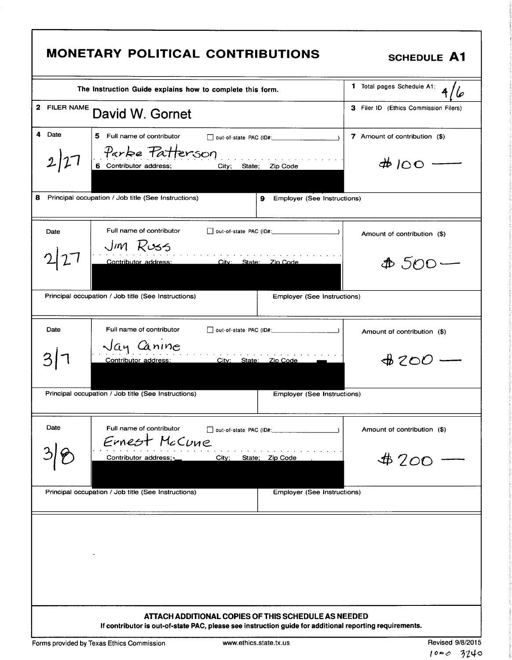| <b>MONETARY POLITICAL CONTRIBUTIONS</b>                                                                                                                                                                                                                                                                                                                                                                                                                                                       | <b>SCHEDULE A1</b>                        |  |  |  |  |
|-----------------------------------------------------------------------------------------------------------------------------------------------------------------------------------------------------------------------------------------------------------------------------------------------------------------------------------------------------------------------------------------------------------------------------------------------------------------------------------------------|-------------------------------------------|--|--|--|--|
| The Instruction Guide explains how to complete this form.                                                                                                                                                                                                                                                                                                                                                                                                                                     | <b>1</b> Total pages Schedule A1:<br>416  |  |  |  |  |
| <sup>2</sup> <sup>FILER NAME</sup> David W. Gornet                                                                                                                                                                                                                                                                                                                                                                                                                                            | 3 Filer ID (Ethics Commission Filers)     |  |  |  |  |
| $\begin{vmatrix} 4 & \text{Date} \end{vmatrix}$<br>$\begin{array}{ c c } \hline \textbf{5} & \textbf{Full name of contributor} \hline \end{array}$<br>out-of-state PAC (ID#:<br>Parke Patterson<br>2 27 <br>and a series of the contract of the contract of the contract of the contract of the contract of the contract of the contract of the contract of the contract of the contract of the contract of the contract of the contract o<br>City; State; Zip Code<br>6 Contributor address; | 7 Amount of contribution (\$)<br>$#100$ — |  |  |  |  |
| 8 Principal occupation / Job title (See Instructions)<br>9 Employer (See Instructions)                                                                                                                                                                                                                                                                                                                                                                                                        |                                           |  |  |  |  |
| Date<br>Full name of contributor<br>out-of-state PAC (ID#:<br>Jm Russ<br>2 27 <br>into the theory of the control of the control of the control of the control of the control of the control of the control of the control of the control of the control of the control of the control of the control of the cont<br>City: State: Zip Code<br>Contributor address:                                                                                                                             | Amount of contribution (\$)<br>$4500 -$   |  |  |  |  |
| Principal occupation / Job title (See Instructions)<br><b>Employer (See Instructions)</b>                                                                                                                                                                                                                                                                                                                                                                                                     |                                           |  |  |  |  |
| Date<br>Full name of contributor<br>out-of-state PAC (ID#:<br>Jay Canine<br>3 7<br>City: State: Zip Code<br>Principal occupation / Job title (See Instructions)<br><b>Employer (See Instructions)</b>                                                                                                                                                                                                                                                                                         | Amount of contribution (\$)<br>$4200 -$   |  |  |  |  |
| Date<br>out-of-state PAC (ID#:                                                                                                                                                                                                                                                                                                                                                                                                                                                                | Amount of contribution (\$)               |  |  |  |  |
| Full name of contributor<br>Ernest McCune<br>38<br>City; State; Zip Code<br>Contributor address;                                                                                                                                                                                                                                                                                                                                                                                              | $$200 -$                                  |  |  |  |  |
| Principal occupation / Job title (See Instructions)<br><b>Employer (See Instructions)</b>                                                                                                                                                                                                                                                                                                                                                                                                     |                                           |  |  |  |  |
| $\mathcal{L}_{\text{max}}$ and $\mathcal{L}_{\text{max}}$ .                                                                                                                                                                                                                                                                                                                                                                                                                                   |                                           |  |  |  |  |
| ATTACH ADDITIONAL COPIES OF THIS SCHEDULE AS NEEDED<br>If contributor is out-of-state PAC, please see instruction guide for additional reporting requirements.                                                                                                                                                                                                                                                                                                                                |                                           |  |  |  |  |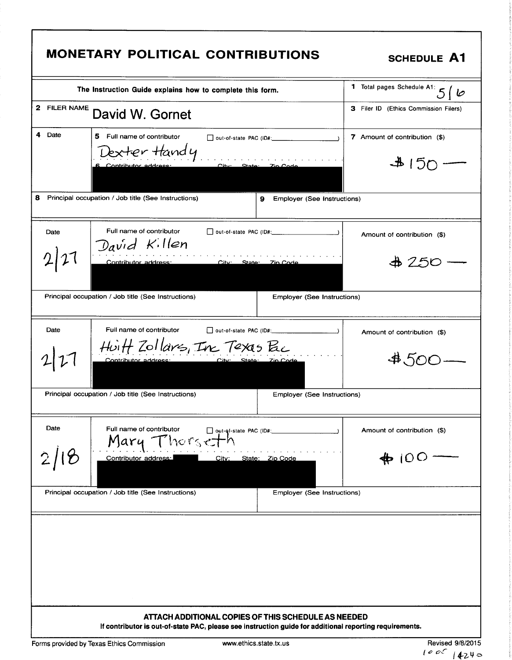|              | <b>MONETARY POLITICAL CONTRIBUTIONS</b>                                                                                             | <b>SCHEDULE A1</b>                        |
|--------------|-------------------------------------------------------------------------------------------------------------------------------------|-------------------------------------------|
|              | The Instruction Guide explains how to complete this form.                                                                           | 1 Total pages Schedule A1: 5   1          |
| 2 FILER NAME | David W. Gornet                                                                                                                     | 3 Filer ID (Ethics Commission Filers)     |
| 4<br>Date    | 5.<br>Full name of contributor<br>out-of-state PAC (ID#:<br>Jexter Handy<br>$C$ itv $\sim$<br>Contributor address<br><b>State:</b>  | 7 Amount of contribution (\$)<br>$4150 -$ |
|              | 8 Principal occupation / Job title (See Instructions)<br>9<br>Employer (See Instructions)                                           |                                           |
| Date         | Full name of contributor<br>David Killen                                                                                            | Amount of contribution (\$)               |
|              | Contributor address:<br>City: State:<br><u>- Zin Code</u>                                                                           | &4250                                     |
|              | Principal occupation / Job title (See Instructions)<br>Employer (See Instructions)                                                  |                                           |
| Date         | Full name of contributor<br>Huitt Zollars, In Texas Bc<br>Contributor address<br>City: __<br>State: Zin Code                        | Amount of contribution (\$)               |
|              | Principal occupation / Job title (See Instructions)<br><b>Employer (See Instructions)</b>                                           |                                           |
| Date         | Full name of contributor<br>out-of-state PAC (ID#:<br>Therseth<br>Mary -<br>Contributor address:<br>State: Zip Code<br><u>City:</u> | Amount of contribution (\$)               |
|              | Principal occupation / Job title (See Instructions)<br>Employer (See Instructions)                                                  |                                           |
|              | ATTACH ADDITIONAL COPIES OF THIS SCHEDULE AS NEEDED                                                                                 |                                           |
|              | If contributor is out-of-state PAC, please see instruction guide for additional reporting requirements.                             |                                           |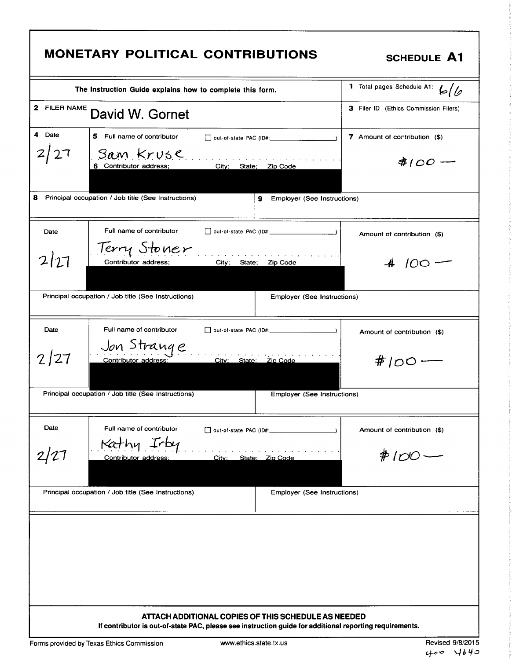|              | <b>MONETARY POLITICAL CONTRIBUTIONS</b>                                                                                                                        | <b>SCHEDULE A1</b>                    |
|--------------|----------------------------------------------------------------------------------------------------------------------------------------------------------------|---------------------------------------|
|              | The Instruction Guide explains how to complete this form.                                                                                                      | 1 Total pages Schedule A1:<br>6/6     |
| 2 FILER NAME | David W. Gornet                                                                                                                                                | 3 Filer ID (Ethics Commission Filers) |
| 4 Date       | 5 Full name of contributor<br>$\Box$ out-of-state PAC (ID#:                                                                                                    | 7 Amount of contribution (\$)         |
| 2/27         | San Kruse<br>City; State; Zip Code<br>6 Contributor address;                                                                                                   | $$100 -$                              |
| 8            | Principal occupation / Job title (See Instructions)<br>Employer (See Instructions)<br>9.                                                                       |                                       |
| Date         | Full name of contributor                                                                                                                                       | Amount of contribution (\$)           |
| 2 27         | Terry Stoner<br>Contributor address:<br>City: State:<br>Zip Code                                                                                               | $100 -$                               |
|              | Principal occupation / Job title (See Instructions)<br>Employer (See Instructions)                                                                             |                                       |
| Date         | Full name of contributor                                                                                                                                       | Amount of contribution (\$)           |
| 2/27         | Jon Strange<br>City: State: Zip Code<br>Contributor address:                                                                                                   | #100 ·                                |
|              | Principal occupation / Job title (See Instructions)<br>Employer (See Instructions)                                                                             |                                       |
| Date         | Full name of contributor                                                                                                                                       | Amount of contribution (\$)           |
|              | Contributor address:<br><u>City:</u><br>State: Zip Code                                                                                                        | $#100-$                               |
|              | Principal occupation / Job title (See Instructions)<br>Employer (See Instructions)                                                                             |                                       |
|              |                                                                                                                                                                |                                       |
|              | ATTACH ADDITIONAL COPIES OF THIS SCHEDULE AS NEEDED<br>If contributor is out-of-state PAC, please see instruction guide for additional reporting requirements. |                                       |

f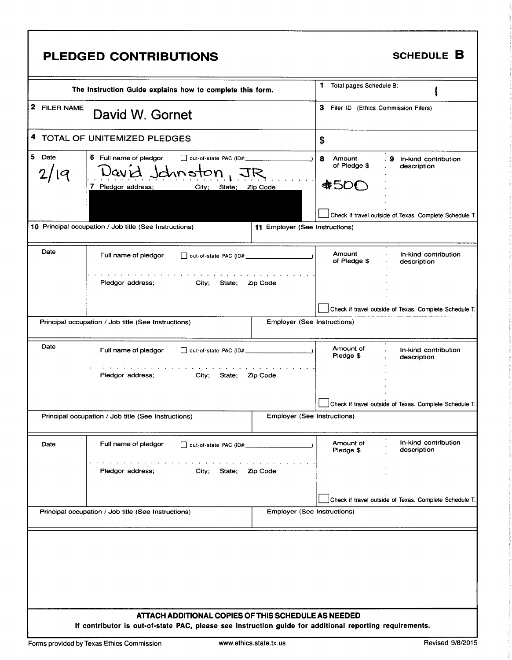| PLEDGED CONTRIBUTIONS                                                                                                                                                                                                                                                                                                                         | SCHEDULE B                                                                                                                                                                                                                                                                                            |
|-----------------------------------------------------------------------------------------------------------------------------------------------------------------------------------------------------------------------------------------------------------------------------------------------------------------------------------------------|-------------------------------------------------------------------------------------------------------------------------------------------------------------------------------------------------------------------------------------------------------------------------------------------------------|
| The Instruction Guide explains how to complete this form.                                                                                                                                                                                                                                                                                     | 1 Total pages Schedule B:                                                                                                                                                                                                                                                                             |
| <sup>2</sup> FILER NAME David W. Gornet                                                                                                                                                                                                                                                                                                       | 3 Filer ID (Ethics Commission Filers)                                                                                                                                                                                                                                                                 |
| $_1$ <sup>4</sup> TOTAL OF UNITEMIZED PLEDGES                                                                                                                                                                                                                                                                                                 |                                                                                                                                                                                                                                                                                                       |
| 6 Full name of pledgor $\square$ out-of-state PAC (ID#:<br>$\bigcup_{i=1}^{n} Q_i \cup \bigcup_{i=1}^{n} Q_i \cup \bigcup_{i=1}^{n} Q_i \cup \bigcup_{i=1}^{n} Q_i \cup \bigcup_{i=1}^{n} Q_i \cup \bigcup_{i=1}^{n} Q_i \cup \bigcup_{i=1}^{n} Q_i \cup \bigcup_{i=1}^{n} Q_i \cup \bigcup_{i=1}^{n} Q_i \cup \bigcup_{i=1}^{n} Q_i$<br>Date | 8 Amount<br>of Pledge \$<br>9 In-kind contribution<br>description                                                                                                                                                                                                                                     |
| 2/19                                                                                                                                                                                                                                                                                                                                          | $\parallel$ \$500                                                                                                                                                                                                                                                                                     |
|                                                                                                                                                                                                                                                                                                                                               | $\overline{ }$<br>Check if travel outside of Texas. Complete Schedule T.                                                                                                                                                                                                                              |
| 0 Principal occupation / Job title (See Instructions)                                                                                                                                                                                                                                                                                         | 11 Employer (See Instructions)                                                                                                                                                                                                                                                                        |
| Date<br>Full name of pledgor and out-of-state PAC (ID#:                                                                                                                                                                                                                                                                                       | Amount<br>of Pledge \$<br>In-kind contribution<br>description                                                                                                                                                                                                                                         |
| والمناور والمناور والمناور والمناور والمناور والمناور والمناور والمناور والمناور والمناور والمناور<br>City; State; Zip Code<br>Pledgor address;                                                                                                                                                                                               | <b>Contract Contract</b><br>and the state of                                                                                                                                                                                                                                                          |
|                                                                                                                                                                                                                                                                                                                                               | Check if travel outside of Texas. Complete Schedule T.                                                                                                                                                                                                                                                |
| Principal occupation / Job title (See Instructions)                                                                                                                                                                                                                                                                                           | <b>Employer (See Instructions)</b>                                                                                                                                                                                                                                                                    |
| Date <b>Date</b><br>Full name of pledgor   out-of-state PAC (ID#:                                                                                                                                                                                                                                                                             | <u> a shekara ta 1999 na shekara ta 1999 na shekara ta 1999 na shekara ta 1999 na shekara ta 1999 na shekara ta 1999 na shekara ta 1999 na shekara ta 1999 na shekara ta 1999 na shekara ta 1999 na shekara ta 1999 na shekara t</u><br>Amount of<br>Pledge \$<br>In-kind contribution<br>description |
| المواقد والمناور والمناور والمناور والمناور والمناور والمناور والمناور والمناور والمناور والمناور والمناور<br>City; State; Zip Code<br>Pledgor address;                                                                                                                                                                                       |                                                                                                                                                                                                                                                                                                       |
|                                                                                                                                                                                                                                                                                                                                               | $\mathcal{L}^{\mathcal{L}}(\mathcal{L}^{\mathcal{L}})$ and $\mathcal{L}^{\mathcal{L}}(\mathcal{L}^{\mathcal{L}})$                                                                                                                                                                                     |
| Principal occupation / Job title (See Instructions)                                                                                                                                                                                                                                                                                           | Check if travel outside of Texas. Complete Schedule T.<br><b>Employer (See Instructions)</b>                                                                                                                                                                                                          |
| Date<br>Full name of pledgor   out-of-state PAC (ID#:                                                                                                                                                                                                                                                                                         | In-kind contribution<br>description<br>Amount of<br>Pledge \$                                                                                                                                                                                                                                         |
| المتعارض والمتعارض والمتعارض والمتعارض والمتعارض والمتعارض والمتعارض والمتعارض والمتعارض                                                                                                                                                                                                                                                      | <b>Contract Contract</b>                                                                                                                                                                                                                                                                              |
| City; State; Zip Code<br>Pledgor address;                                                                                                                                                                                                                                                                                                     | <b>Contract Contract</b><br>and the state of the<br><b>Contract Contract</b>                                                                                                                                                                                                                          |
| Principal occupation / Job title (See Instructions)                                                                                                                                                                                                                                                                                           | Check if travel outside of Texas. Complete Schedule T.<br><b>Employer (See Instructions)</b>                                                                                                                                                                                                          |
|                                                                                                                                                                                                                                                                                                                                               |                                                                                                                                                                                                                                                                                                       |
|                                                                                                                                                                                                                                                                                                                                               |                                                                                                                                                                                                                                                                                                       |
|                                                                                                                                                                                                                                                                                                                                               |                                                                                                                                                                                                                                                                                                       |
|                                                                                                                                                                                                                                                                                                                                               |                                                                                                                                                                                                                                                                                                       |
| ATTACH ADDITIONAL COPIES OF THIS SCHEDULE AS NEEDED<br>If contributor is out-of-state PAC, please see instruction guide for additional reporting requirements.                                                                                                                                                                                |                                                                                                                                                                                                                                                                                                       |
|                                                                                                                                                                                                                                                                                                                                               |                                                                                                                                                                                                                                                                                                       |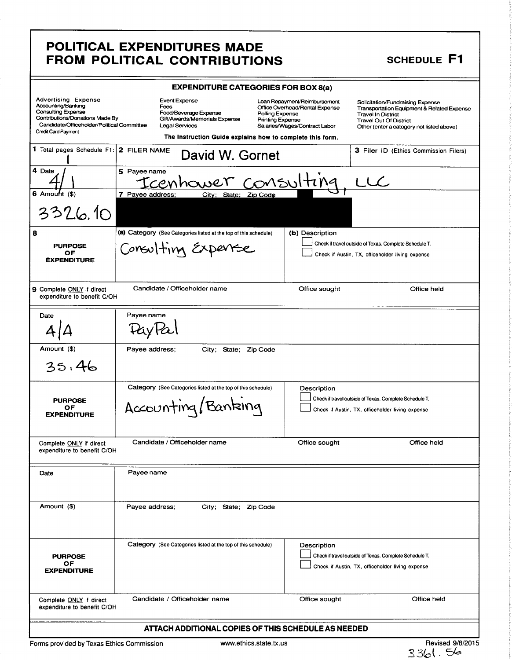### POLITICAL EXPENDITURES MADE FROM POLITICAL CONTRIBUTIONS SCHEDULE F1

|                                                                                                                                                                                                                                            |                                                                                       | <b>EXPENDITURE CATEGORIES FOR BOX 8(a)</b>                                                 |               |                                                                                                                                |
|--------------------------------------------------------------------------------------------------------------------------------------------------------------------------------------------------------------------------------------------|---------------------------------------------------------------------------------------|--------------------------------------------------------------------------------------------|---------------|--------------------------------------------------------------------------------------------------------------------------------|
|                                                                                                                                                                                                                                            |                                                                                       | Loan Repayment/Reimbursement<br>Office Overhead/Rental Expense                             |               |                                                                                                                                |
| Advertising Expense<br>Accounting/Banking<br>Consulting Expense<br>Consulting Expense<br>Contributions/Donations Made By<br>Contributions/Director Consulting Canadidate/Officer/Director Committee<br>Consulting Consulting Consulting Co | Food/Beverage Expense<br>Gift/Awards/Memorials Expense                                | Polling Expense<br>Printing Expense                                                        |               | Solicitation/Fundraising Expense<br>Transportation Equipment & Related Expense<br>Travel In District<br>Travel Out Of District |
| Credit Card Payment                                                                                                                                                                                                                        |                                                                                       | Salaries/Wages/Contract Labor<br>The Instruction Guide explains how to complete this form. |               | Other (enter a category not listed above)                                                                                      |
|                                                                                                                                                                                                                                            | Total pages Schedule F1: 2 FILER NAME David W. Gornet                                 |                                                                                            |               | 3 Filer ID (Ethics Commission Filers)                                                                                          |
| $\overline{\phantom{a}1}$ Date $\overline{\phantom{a}}$                                                                                                                                                                                    |                                                                                       |                                                                                            |               |                                                                                                                                |
|                                                                                                                                                                                                                                            | $\vert$ 5 Payee name<br>5 Payee name<br>TCCMhower COMSUlting LLC                      |                                                                                            |               |                                                                                                                                |
| $\frac{4}{6}$<br>6 Amount (\$)                                                                                                                                                                                                             |                                                                                       |                                                                                            |               |                                                                                                                                |
| 3326.10                                                                                                                                                                                                                                    |                                                                                       |                                                                                            |               |                                                                                                                                |
|                                                                                                                                                                                                                                            | (a) Category (See Categories listed at the top of this schedule) $\ $ (b) Description |                                                                                            |               |                                                                                                                                |
|                                                                                                                                                                                                                                            | Consulting Experise                                                                   |                                                                                            |               | Check if travel outside of Texas. Complete Schedule T.                                                                         |
| PURPOSE<br>OF<br>EXPENDITURE                                                                                                                                                                                                               |                                                                                       |                                                                                            |               | Check if Austin, TX, officeholder living expense                                                                               |
|                                                                                                                                                                                                                                            |                                                                                       |                                                                                            |               |                                                                                                                                |
| 9 Complete ONLY if direct<br>expenditure to benefit C/OH                                                                                                                                                                                   | Candidate / Officeholder name                                                         |                                                                                            | Office sought | Office held                                                                                                                    |
| Date                                                                                                                                                                                                                                       | Payee name                                                                            |                                                                                            |               |                                                                                                                                |
| $4\vert A \vert$                                                                                                                                                                                                                           | PayPal                                                                                |                                                                                            |               |                                                                                                                                |
| Amount (\$)                                                                                                                                                                                                                                | Payee address; City; State; Zip Code                                                  |                                                                                            |               |                                                                                                                                |
|                                                                                                                                                                                                                                            |                                                                                       |                                                                                            |               |                                                                                                                                |
| 35.46                                                                                                                                                                                                                                      |                                                                                       |                                                                                            |               |                                                                                                                                |
|                                                                                                                                                                                                                                            | Category (See Categories listed at the top of this schedule)                          |                                                                                            | Description   |                                                                                                                                |
| PURPOSE<br>OF<br>EXPENDITURE                                                                                                                                                                                                               | Accounting/Banking                                                                    | <b>Contract Contract Contract</b>                                                          |               | Check if travel outside of Texas. Complete Schedule T.<br>Check if Austin, TX, officeholder living expense                     |
|                                                                                                                                                                                                                                            |                                                                                       |                                                                                            |               |                                                                                                                                |
|                                                                                                                                                                                                                                            | Candidate / Officeholder name                                                         |                                                                                            | Office sought | Office held                                                                                                                    |
| Complete ONLY if direct<br>expenditure to benefit C/OH                                                                                                                                                                                     |                                                                                       |                                                                                            |               |                                                                                                                                |
| Date                                                                                                                                                                                                                                       | Payee name                                                                            |                                                                                            |               |                                                                                                                                |
|                                                                                                                                                                                                                                            |                                                                                       |                                                                                            |               |                                                                                                                                |
| Amount (\$)                                                                                                                                                                                                                                | Payee address;                                                                        | City; State; Zip Code                                                                      |               |                                                                                                                                |
|                                                                                                                                                                                                                                            |                                                                                       |                                                                                            |               |                                                                                                                                |
|                                                                                                                                                                                                                                            |                                                                                       |                                                                                            |               |                                                                                                                                |
|                                                                                                                                                                                                                                            | Category (See Categories listed at the top of this schedule)                          |                                                                                            | Description   | Check if travel outside of Texas. Complete Schedule T.                                                                         |
| <b>PURPOSE</b><br>OF<br><b>EXPENDITURE</b>                                                                                                                                                                                                 |                                                                                       |                                                                                            |               | Check if Austin, TX, officeholder living expense                                                                               |
|                                                                                                                                                                                                                                            |                                                                                       |                                                                                            |               |                                                                                                                                |
| Complete ONLY if direct<br>expenditure to benefit C/OH                                                                                                                                                                                     | Candidate / Officeholder name                                                         |                                                                                            | Office sought | Office held                                                                                                                    |
|                                                                                                                                                                                                                                            |                                                                                       |                                                                                            |               |                                                                                                                                |
|                                                                                                                                                                                                                                            |                                                                                       | ATTACH ADDITIONAL COPIES OF THIS SCHEDULE AS NEEDED                                        |               |                                                                                                                                |

Forms provided by Texas Ethics Commission www.ethics.state.tx.us

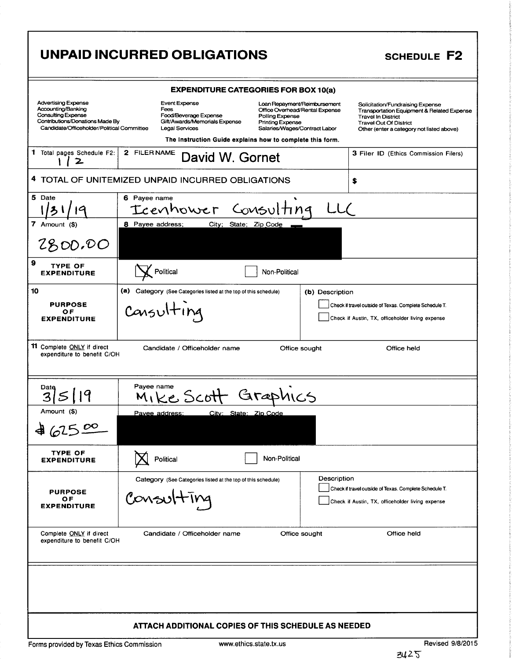# UNPAID INCURRED OBLIGATIONS SCHEDULE F2

| UNPAID INCURRED OBLIGATIONS                                                                                                                                                                                              | SCHEDULE F2                                                                                                                                                                                      |  |  |  |  |
|--------------------------------------------------------------------------------------------------------------------------------------------------------------------------------------------------------------------------|--------------------------------------------------------------------------------------------------------------------------------------------------------------------------------------------------|--|--|--|--|
|                                                                                                                                                                                                                          |                                                                                                                                                                                                  |  |  |  |  |
| <b>EXPENDITURE CATEGORIES FOR BOX 10(a)</b>                                                                                                                                                                              |                                                                                                                                                                                                  |  |  |  |  |
| Advertising Expense<br>Accounting/Banking<br>Consulting Expense<br>Contributions/Donations Made By<br><b>Event Expense</b><br>Fees<br>, coo<br>Food/Beverage Expense<br>Gift/Awards/Memorials Expense<br>Polling Expense | Loan Repayment/Reimbursement<br>Office Overhead/Rental Expense<br>Solicitation/Fundraising Expense<br>Transportation Equipment & Related Expense<br>Travel In District<br>Travel Out Of District |  |  |  |  |
| Candidate/Officeholder/Political Committee Legal Services                                                                                                                                                                | Printing Expense<br>Salaries/Wages/Contract Labor<br>Other (enter a category not listed above)                                                                                                   |  |  |  |  |
| The Instruction Guide explains how to complete this form.<br><sup>1</sup> Total pages Schedule F2: 2 FILER NAME David W. Gornet                                                                                          | 3 Filer ID (Ethics Commission Filers)                                                                                                                                                            |  |  |  |  |
|                                                                                                                                                                                                                          |                                                                                                                                                                                                  |  |  |  |  |
| <b>I TOTAL OF UNITEMIZED UNPAID INCURRED OBLIGATIONS</b>                                                                                                                                                                 |                                                                                                                                                                                                  |  |  |  |  |
| 6 Payee name<br>$5$ Date<br>Icenhower Consulting LLC<br>$\frac{1}{2}$ $\frac{1}{4}$                                                                                                                                      |                                                                                                                                                                                                  |  |  |  |  |
| 8 Payee address; City; State; Zip Code                                                                                                                                                                                   |                                                                                                                                                                                                  |  |  |  |  |
| 2800.00                                                                                                                                                                                                                  |                                                                                                                                                                                                  |  |  |  |  |
| <b>X</b> Political<br>Non-Political                                                                                                                                                                                      |                                                                                                                                                                                                  |  |  |  |  |
| $\vert$ (a) Category (See Categories listed at the top of this schedule)                                                                                                                                                 | (b) Description                                                                                                                                                                                  |  |  |  |  |
| <b>PURPOSE<br/>OF<br/>EXPENDITURE</b><br>$\cdots$<br>Cansulting                                                                                                                                                          | Check if travel outside of Texas. Complete Schedule T.                                                                                                                                           |  |  |  |  |
|                                                                                                                                                                                                                          | Check if Austin, TX, officeholder living expense                                                                                                                                                 |  |  |  |  |
| 11 Complete ONLY if direct<br>expenditure to benefit C/OH<br>Candidate / Officeholder name                                                                                                                               | Office held<br>Office sought                                                                                                                                                                     |  |  |  |  |
|                                                                                                                                                                                                                          |                                                                                                                                                                                                  |  |  |  |  |
|                                                                                                                                                                                                                          |                                                                                                                                                                                                  |  |  |  |  |
| Bate SI Payee name Scott Graphics<br>Amount (\$)                                                                                                                                                                         |                                                                                                                                                                                                  |  |  |  |  |
| Pavee address: City: State: Zip Code<br>462500                                                                                                                                                                           |                                                                                                                                                                                                  |  |  |  |  |
|                                                                                                                                                                                                                          |                                                                                                                                                                                                  |  |  |  |  |
| TYPE OF<br>EXPENDITURE<br><b>X</b> Political<br>Non-Political                                                                                                                                                            |                                                                                                                                                                                                  |  |  |  |  |
| Category (See Categories listed at the top of this schedule)                                                                                                                                                             | Description<br>Check if travel outside of Texas. Complete Schedule T.                                                                                                                            |  |  |  |  |
| PURPOSE<br>OF<br>EXPENDITURE<br>Consulting                                                                                                                                                                               | Check if Austin, TX, officeholder living expense                                                                                                                                                 |  |  |  |  |
|                                                                                                                                                                                                                          |                                                                                                                                                                                                  |  |  |  |  |
| Complete ONLY if direct<br>expenditure to benefit C/OH<br>Candidate / Officeholder name                                                                                                                                  | Office sought<br>Office held                                                                                                                                                                     |  |  |  |  |
|                                                                                                                                                                                                                          |                                                                                                                                                                                                  |  |  |  |  |
|                                                                                                                                                                                                                          |                                                                                                                                                                                                  |  |  |  |  |
|                                                                                                                                                                                                                          |                                                                                                                                                                                                  |  |  |  |  |
| ATTACH ADDITIONAL COPIES OF THIS SCHEDULE AS NEEDED                                                                                                                                                                      |                                                                                                                                                                                                  |  |  |  |  |
| Forms provided by Texas Ethics Commission<br>www.ethics.state.tx.us                                                                                                                                                      | Revised 9/8/2015                                                                                                                                                                                 |  |  |  |  |
|                                                                                                                                                                                                                          | 2125                                                                                                                                                                                             |  |  |  |  |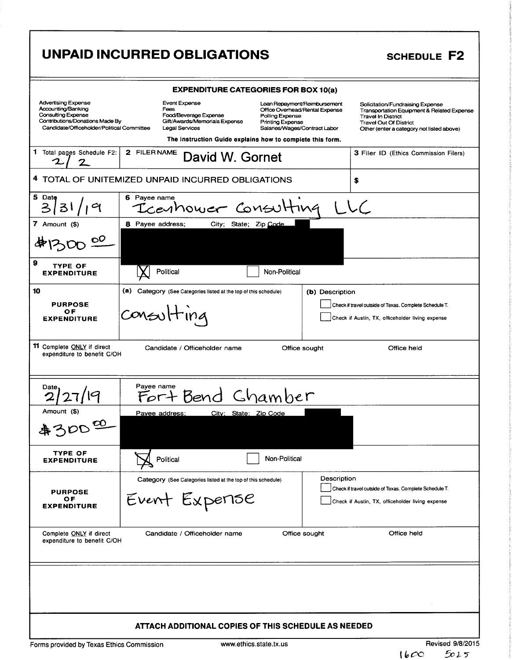# UNPAID INCURRED OBLIGATIONS SCHEDULE F2

# EXPENDITURE CATEGORIES FOR BOX 10(a) Advertising Expense Event Expense Event Expense Loan Repayment/Reimbursement Solicitation/Fundraising Expense<br>Accounting/Banking expense Fees Expense Office Overhead/Rental Expense Transportation Equipment & Relation Accounting/Banking externation of Fees Fees office Overhead/Rental Expense Transportation Equipment & Related Expense<br>Consulting Expense Food/Beverage Expense Polling Expense Travel In District expense in Expense of the St Consulting Expense Food/Beverage Expense Polling Expense France Travel In District<br>Contributions/Donations Made By Gift/Awards/Memorials Expense Printing Expense Travel Out Of District Contributions/Donations Made By Gift/Awards/Memorials Expense Printing Expense Travel Out Of District<br>Candidate/Officeholder/Political Committee Legal Services Salaries/Wages/Contract Labor Other (enter a category not list The Instruction Guide explains how to complete this form. 1 Total pages Schedule F2: 1 pages Schedule F2: 2 FILER NAME David W. Gornet 3 Filer ID (Ethics Commission Filers) 2/2<br>
DTAL OF UNITEMIZED UNPAID INCURRED OBLIGATIONS<br>  $\frac{1}{3}$ <br>  $\frac{1}{3}$ <br>
POUT (\$)<br>
8 Payee address; City; State; Zip Code<br>
PURPOSE<br>
PURPOSE<br>
PURPOSE<br>
PURPOSE<br>
PURPOSE<br>
COVEN  $\left|\frac{1}{1}$ <br>
PURPOSE<br>
COVEN  $\left|\frac{1}{1}$ <br>
PURP 4 TOTAL OF UNITEMIZED UNPAID INCURRED OBLIGATIONS 5 Date  $\vert$  6 Payee name  $\overline{\mathfrak{l}}$  1 9 | Icenhower Consulting 313 <sup>t</sup> 7 Amount (\$) | 8 Payee address; City; State; Zip Code  $\mathbf{O}^{\mathbf{O}}$ 9 TYPE OF Political **Non-Political** Non-Political **EXPENDITURE** 10 **a)** (a) Category (See Categories listed at the top of this schedule) **(b)** Description COMSU<sup>H</sup>IN 4 OF<br>EXPENDITURE 11 Complete ONLY if direct Candidate / Officeholder name Office sought Office held expenditure to benefit C/OH Date Payee name<br>2/27/19 Fort Bend Chamber  $2<sub>1</sub>$ Amount (\$) Payee address; City; State; Zip Code  $\mathbf{\Omega}$ あろの TYPE OF EXPENDITURE | Non-Political | Non-Political Category (See Categories listed at the top of this schedule) Description<br>
PURPOSE Check if travel outside of Texas. Complete Schedule T. PURPOSE | EVENT EXPENSE | Gheck if travel outside of Texas. Complete Schedule T<br>OF DEVENT EXPENSE | Gheck if Austin, TX, officeholder living expense Complete ONLY if direct Candidate / Officeholder name Office sought Office held expenditure to benefit C/OH ATTACH ADDITIONAL COPIES OF THIS SCHEDULE AS NEEDED Forms provided by Texas Ethics Commission www.ethics.state.tx.us Revised 9/8/2015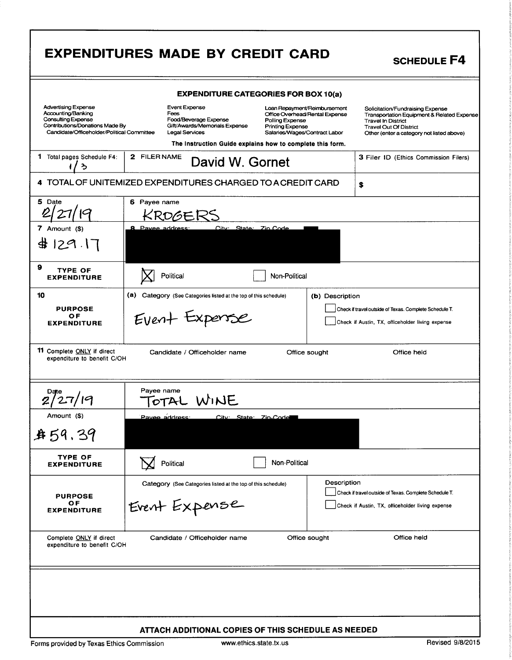|                                                                                                                                                         | <b>EXPENDITURES MADE BY CREDIT CARD</b>                                                                                                                                                                                                                                                                                | <b>SCHEDULE F4</b>                                                                                                                                                                        |  |  |  |  |
|---------------------------------------------------------------------------------------------------------------------------------------------------------|------------------------------------------------------------------------------------------------------------------------------------------------------------------------------------------------------------------------------------------------------------------------------------------------------------------------|-------------------------------------------------------------------------------------------------------------------------------------------------------------------------------------------|--|--|--|--|
| <b>EXPENDITURE CATEGORIES FOR BOX 10(a)</b>                                                                                                             |                                                                                                                                                                                                                                                                                                                        |                                                                                                                                                                                           |  |  |  |  |
| <b>Advertising Expense</b><br>Accounting/Banking<br>Consulting Expense<br>Contributions/Donations Made By<br>Candidate/Officeholder/Political Committee | Event Expense<br>Loan Repayment/Reimbursement<br>Fees<br>Office Overhead/Rental Expense<br>Food/Beverage Expense<br>Polling Expense<br>Gift/Awards/Memorials Expense<br><b>Printing Expense</b><br><b>Legal Services</b><br>Salaries/Wages/Contract Labor<br>The Instruction Guide explains how to complete this form. | Solicitation/Fundraising Expense<br>Transportation Equipment & Related Expense<br><b>Travel In District</b><br><b>Travel Out Of District</b><br>Other (enter a category not listed above) |  |  |  |  |
| Total pages Schedule F4:<br>1.<br>ን                                                                                                                     | 2 FILER NAME<br>David W. Gornet                                                                                                                                                                                                                                                                                        | 3 Filer ID (Ethics Commission Filers)                                                                                                                                                     |  |  |  |  |
| 4 TOTAL OF UNITEMIZED EXPENDITURES CHARGED TO A CREDIT CARD<br>\$                                                                                       |                                                                                                                                                                                                                                                                                                                        |                                                                                                                                                                                           |  |  |  |  |
| 5 Date<br>7 Amount (\$)<br># 129.17                                                                                                                     | 6 Payee name<br>ROGEK'<br><b>8</b> Pavee address:<br>City: State: Zin Code                                                                                                                                                                                                                                             |                                                                                                                                                                                           |  |  |  |  |
| 9<br><b>TYPE OF</b><br><b>EXPENDITURE</b>                                                                                                               | Political<br>Non-Political                                                                                                                                                                                                                                                                                             |                                                                                                                                                                                           |  |  |  |  |
| 10<br><b>PURPOSE</b><br>0F<br><b>EXPENDITURE</b>                                                                                                        | (a)<br>Category (See Categories listed at the top of this schedule)<br>Event Expense                                                                                                                                                                                                                                   | (b) Description<br>Check if travel outside of Texas. Complete Schedule T.<br>Check if Austin, TX, officeholder living expense                                                             |  |  |  |  |
| 11 Complete ONLY if direct<br>Candidate / Officeholder name<br>Office sought<br>Office held<br>expenditure to benefit C/OH                              |                                                                                                                                                                                                                                                                                                                        |                                                                                                                                                                                           |  |  |  |  |
|                                                                                                                                                         | Payee name<br>WINE                                                                                                                                                                                                                                                                                                     |                                                                                                                                                                                           |  |  |  |  |
| Amount (\$)<br><b>身59.39</b>                                                                                                                            | Pavee address:<br>City State Zin Code                                                                                                                                                                                                                                                                                  |                                                                                                                                                                                           |  |  |  |  |
| <b>TYPE OF</b><br><b>EXPENDITURE</b>                                                                                                                    | Non-Political<br>Political                                                                                                                                                                                                                                                                                             |                                                                                                                                                                                           |  |  |  |  |
| <b>PURPOSE</b><br>O F<br><b>EXPENDITURE</b>                                                                                                             | Category (See Categories listed at the top of this schedule)<br>Event Expense                                                                                                                                                                                                                                          | Description<br>Check if travel outside of Texas. Complete Schedule T.<br>Check if Austin, TX, officeholder living expense                                                                 |  |  |  |  |
| Complete ONLY if direct<br>expenditure to benefit C/OH                                                                                                  | Candidate / Officeholder name<br>Office sought                                                                                                                                                                                                                                                                         | Office held                                                                                                                                                                               |  |  |  |  |
| Forms provided by Texas Ethics Commission                                                                                                               | ATTACH ADDITIONAL COPIES OF THIS SCHEDULE AS NEEDED<br>www.ethics.state.tx.us                                                                                                                                                                                                                                          | Revised 9/8/2015                                                                                                                                                                          |  |  |  |  |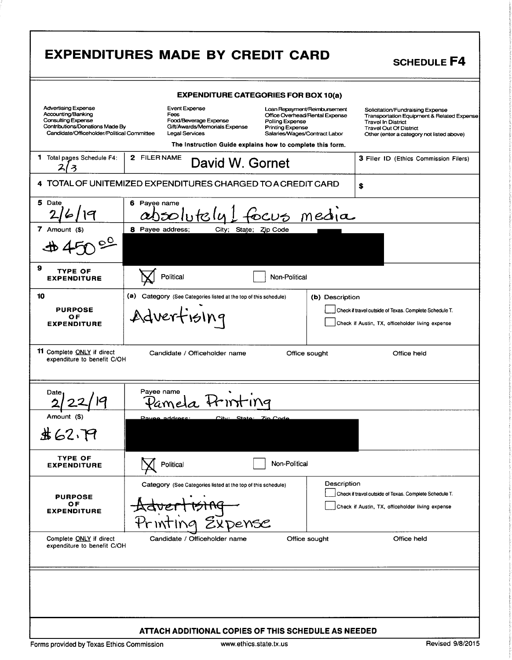| <b>EXPENDITURES MADE BY CREDIT CARD</b><br><b>SCHEDULE F4</b>                                                                                                                                                                                                                                                                                                                   |  |  |  |
|---------------------------------------------------------------------------------------------------------------------------------------------------------------------------------------------------------------------------------------------------------------------------------------------------------------------------------------------------------------------------------|--|--|--|
| <b>EXPENDITURE CATEGORIES FOR BOX 10(a)</b>                                                                                                                                                                                                                                                                                                                                     |  |  |  |
| Advertising Expense<br>Accounting/Banking<br>Consulting Expense<br>Contributions/Donations Made By<br>Event Expense<br>Fees<br>Loan Repayment/Reimbursement<br>Office Overhead/Rental Expense                                                                                                                                                                                   |  |  |  |
| Solicitation/Fundraising Expense<br>Transportation Equipment & Related Expense<br>Travel In District<br>Travel Out Of District<br>Other (enter a category not listed above)<br>.<br>Food/Beverage Expense<br>Gift/Awards/Memorials Expense<br>Polling Expense<br>Printing Expense<br>Salaries/Wages/Contract Labor<br>Candidate/Officeholder/Political Committee Legal Services |  |  |  |
| The Instruction Guide explains how to complete this form.<br>1 Total pages Schedule F4: 2 FILERNAME David W. Gornet<br>3 Filer ID (Ethics Commission Filers)                                                                                                                                                                                                                    |  |  |  |
| 4 TOTAL OF UNITEMIZED EXPENDITURES CHARGED TO A CREDIT CARD                                                                                                                                                                                                                                                                                                                     |  |  |  |
|                                                                                                                                                                                                                                                                                                                                                                                 |  |  |  |
| $\frac{5 \text{ Date}}{2/6/19}$<br>6 Payee name<br>7 Amount $(\$)$<br>8 Payee address; City; State; Zip Code                                                                                                                                                                                                                                                                    |  |  |  |
| 450°7                                                                                                                                                                                                                                                                                                                                                                           |  |  |  |
| M Political                                                                                                                                                                                                                                                                                                                                                                     |  |  |  |
| Non-Political<br>(a) Category (See Categories listed at the top of this schedule)<br>(b) Description                                                                                                                                                                                                                                                                            |  |  |  |
| PURPOSE<br>OF<br>EXPENDITURE<br>Check if travel outside of Texas. Complete Schedule T.<br>Adverfising                                                                                                                                                                                                                                                                           |  |  |  |
| Check if Austin, TX, officeholder living expense                                                                                                                                                                                                                                                                                                                                |  |  |  |
| <sup>1</sup> 11 Complete <u>ONLY</u> if direct<br>expenditure to benefit C/OH<br>Candidate / Officeholder name<br>Office sought<br>Office held                                                                                                                                                                                                                                  |  |  |  |
|                                                                                                                                                                                                                                                                                                                                                                                 |  |  |  |
| Date<br>$2/22/19$<br>Amount (\$)<br>Payee name<br>Parnela Printing                                                                                                                                                                                                                                                                                                              |  |  |  |
|                                                                                                                                                                                                                                                                                                                                                                                 |  |  |  |
| \$62.79                                                                                                                                                                                                                                                                                                                                                                         |  |  |  |
| <b>TYPE OF<br/>EXPENDITURE</b><br><b>V</b> Political<br>Non-Political                                                                                                                                                                                                                                                                                                           |  |  |  |
| Description<br>Incok if travel outside of Texas. Complete Schedule T.<br>Category (See Categories listed at the top of this schedule)<br>$\bullet$ $\bullet$ $\bullet$                                                                                                                                                                                                          |  |  |  |
| PURPOSE<br>OF<br>EXPENDITURE<br>Advertising<br>Check if Austin, TX, officeholder living expense                                                                                                                                                                                                                                                                                 |  |  |  |
| Printing Expense<br>Candidate / Officeholder name<br>Office held<br>Office sought                                                                                                                                                                                                                                                                                               |  |  |  |
| Complete ONLY if direct<br>expenditure to benefit C/OH                                                                                                                                                                                                                                                                                                                          |  |  |  |
|                                                                                                                                                                                                                                                                                                                                                                                 |  |  |  |
|                                                                                                                                                                                                                                                                                                                                                                                 |  |  |  |
|                                                                                                                                                                                                                                                                                                                                                                                 |  |  |  |
| ATTACH ADDITIONAL COPIES OF THIS SCHEDULE AS NEEDED<br>Revised 9/8/2015<br>Forms provided by Texas Ethics Commission<br>www.ethics.state.tx.us                                                                                                                                                                                                                                  |  |  |  |